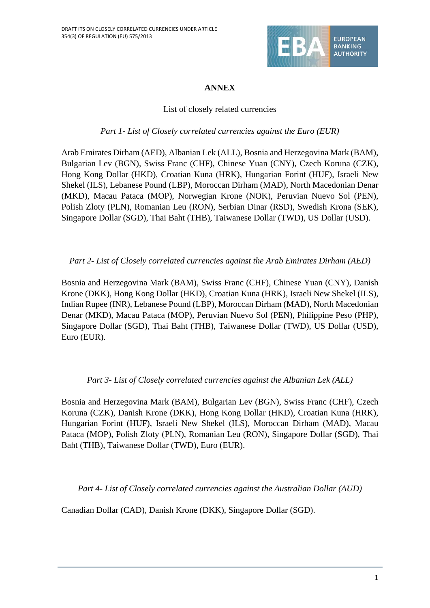

### **ANNEX**

### List of closely related currencies

#### *Part 1- List of Closely correlated currencies against the Euro (EUR)*

Arab Emirates Dirham (AED), Albanian Lek (ALL), Bosnia and Herzegovina Mark (BAM), Bulgarian Lev (BGN), Swiss Franc (CHF), Chinese Yuan (CNY), Czech Koruna (CZK), Hong Kong Dollar (HKD), Croatian Kuna (HRK), Hungarian Forint (HUF), Israeli New Shekel (ILS), Lebanese Pound (LBP), Moroccan Dirham (MAD), North Macedonian Denar (MKD), Macau Pataca (MOP), Norwegian Krone (NOK), Peruvian Nuevo Sol (PEN), Polish Zloty (PLN), Romanian Leu (RON), Serbian Dinar (RSD), Swedish Krona (SEK), Singapore Dollar (SGD), Thai Baht (THB), Taiwanese Dollar (TWD), US Dollar (USD).

### *Part 2- List of Closely correlated currencies against the Arab Emirates Dirham (AED)*

Bosnia and Herzegovina Mark (BAM), Swiss Franc (CHF), Chinese Yuan (CNY), Danish Krone (DKK), Hong Kong Dollar (HKD), Croatian Kuna (HRK), Israeli New Shekel (ILS), Indian Rupee (INR), Lebanese Pound (LBP), Moroccan Dirham (MAD), North Macedonian Denar (MKD), Macau Pataca (MOP), Peruvian Nuevo Sol (PEN), Philippine Peso (PHP), Singapore Dollar (SGD), Thai Baht (THB), Taiwanese Dollar (TWD), US Dollar (USD), Euro (EUR).

*Part 3- List of Closely correlated currencies against the Albanian Lek (ALL)*

Bosnia and Herzegovina Mark (BAM), Bulgarian Lev (BGN), Swiss Franc (CHF), Czech Koruna (CZK), Danish Krone (DKK), Hong Kong Dollar (HKD), Croatian Kuna (HRK), Hungarian Forint (HUF), Israeli New Shekel (ILS), Moroccan Dirham (MAD), Macau Pataca (MOP), Polish Zloty (PLN), Romanian Leu (RON), Singapore Dollar (SGD), Thai Baht (THB), Taiwanese Dollar (TWD), Euro (EUR).

*Part 4- List of Closely correlated currencies against the Australian Dollar (AUD)*

Canadian Dollar (CAD), Danish Krone (DKK), Singapore Dollar (SGD).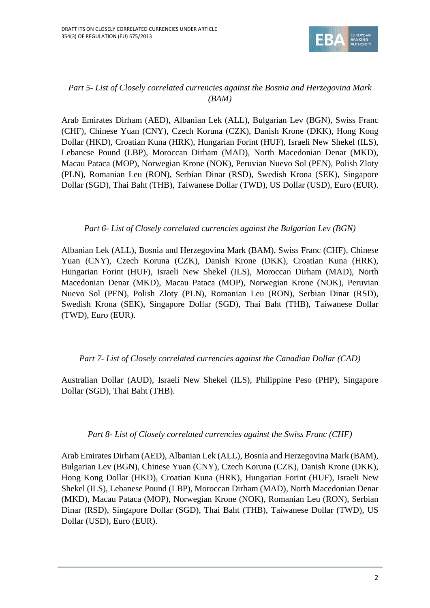

### *Part 5- List of Closely correlated currencies against the Bosnia and Herzegovina Mark (BAM)*

Arab Emirates Dirham (AED), Albanian Lek (ALL), Bulgarian Lev (BGN), Swiss Franc (CHF), Chinese Yuan (CNY), Czech Koruna (CZK), Danish Krone (DKK), Hong Kong Dollar (HKD), Croatian Kuna (HRK), Hungarian Forint (HUF), Israeli New Shekel (ILS), Lebanese Pound (LBP), Moroccan Dirham (MAD), North Macedonian Denar (MKD), Macau Pataca (MOP), Norwegian Krone (NOK), Peruvian Nuevo Sol (PEN), Polish Zloty (PLN), Romanian Leu (RON), Serbian Dinar (RSD), Swedish Krona (SEK), Singapore Dollar (SGD), Thai Baht (THB), Taiwanese Dollar (TWD), US Dollar (USD), Euro (EUR).

### *Part 6- List of Closely correlated currencies against the Bulgarian Lev (BGN)*

Albanian Lek (ALL), Bosnia and Herzegovina Mark (BAM), Swiss Franc (CHF), Chinese Yuan (CNY), Czech Koruna (CZK), Danish Krone (DKK), Croatian Kuna (HRK), Hungarian Forint (HUF), Israeli New Shekel (ILS), Moroccan Dirham (MAD), North Macedonian Denar (MKD), Macau Pataca (MOP), Norwegian Krone (NOK), Peruvian Nuevo Sol (PEN), Polish Zloty (PLN), Romanian Leu (RON), Serbian Dinar (RSD), Swedish Krona (SEK), Singapore Dollar (SGD), Thai Baht (THB), Taiwanese Dollar (TWD), Euro (EUR).

#### *Part 7- List of Closely correlated currencies against the Canadian Dollar (CAD)*

Australian Dollar (AUD), Israeli New Shekel (ILS), Philippine Peso (PHP), Singapore Dollar (SGD), Thai Baht (THB).

#### *Part 8- List of Closely correlated currencies against the Swiss Franc (CHF)*

Arab Emirates Dirham (AED), Albanian Lek (ALL), Bosnia and Herzegovina Mark (BAM), Bulgarian Lev (BGN), Chinese Yuan (CNY), Czech Koruna (CZK), Danish Krone (DKK), Hong Kong Dollar (HKD), Croatian Kuna (HRK), Hungarian Forint (HUF), Israeli New Shekel (ILS), Lebanese Pound (LBP), Moroccan Dirham (MAD), North Macedonian Denar (MKD), Macau Pataca (MOP), Norwegian Krone (NOK), Romanian Leu (RON), Serbian Dinar (RSD), Singapore Dollar (SGD), Thai Baht (THB), Taiwanese Dollar (TWD), US Dollar (USD), Euro (EUR).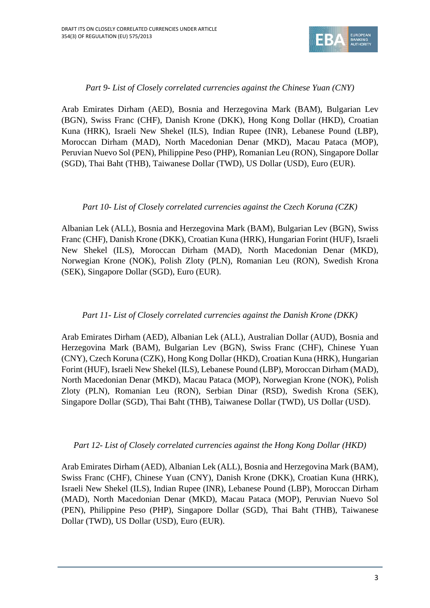

#### *Part 9- List of Closely correlated currencies against the Chinese Yuan (CNY)*

Arab Emirates Dirham (AED), Bosnia and Herzegovina Mark (BAM), Bulgarian Lev (BGN), Swiss Franc (CHF), Danish Krone (DKK), Hong Kong Dollar (HKD), Croatian Kuna (HRK), Israeli New Shekel (ILS), Indian Rupee (INR), Lebanese Pound (LBP), Moroccan Dirham (MAD), North Macedonian Denar (MKD), Macau Pataca (MOP), Peruvian Nuevo Sol (PEN), Philippine Peso (PHP), Romanian Leu (RON), Singapore Dollar (SGD), Thai Baht (THB), Taiwanese Dollar (TWD), US Dollar (USD), Euro (EUR).

# *Part 10- List of Closely correlated currencies against the Czech Koruna (CZK)*

Albanian Lek (ALL), Bosnia and Herzegovina Mark (BAM), Bulgarian Lev (BGN), Swiss Franc (CHF), Danish Krone (DKK), Croatian Kuna (HRK), Hungarian Forint (HUF), Israeli New Shekel (ILS), Moroccan Dirham (MAD), North Macedonian Denar (MKD), Norwegian Krone (NOK), Polish Zloty (PLN), Romanian Leu (RON), Swedish Krona (SEK), Singapore Dollar (SGD), Euro (EUR).

#### *Part 11- List of Closely correlated currencies against the Danish Krone (DKK)*

Arab Emirates Dirham (AED), Albanian Lek (ALL), Australian Dollar (AUD), Bosnia and Herzegovina Mark (BAM), Bulgarian Lev (BGN), Swiss Franc (CHF), Chinese Yuan (CNY), Czech Koruna (CZK), Hong Kong Dollar (HKD), Croatian Kuna (HRK), Hungarian Forint (HUF), Israeli New Shekel (ILS), Lebanese Pound (LBP), Moroccan Dirham (MAD), North Macedonian Denar (MKD), Macau Pataca (MOP), Norwegian Krone (NOK), Polish Zloty (PLN), Romanian Leu (RON), Serbian Dinar (RSD), Swedish Krona (SEK), Singapore Dollar (SGD), Thai Baht (THB), Taiwanese Dollar (TWD), US Dollar (USD).

#### *Part 12- List of Closely correlated currencies against the Hong Kong Dollar (HKD)*

Arab Emirates Dirham (AED), Albanian Lek (ALL), Bosnia and Herzegovina Mark (BAM), Swiss Franc (CHF), Chinese Yuan (CNY), Danish Krone (DKK), Croatian Kuna (HRK), Israeli New Shekel (ILS), Indian Rupee (INR), Lebanese Pound (LBP), Moroccan Dirham (MAD), North Macedonian Denar (MKD), Macau Pataca (MOP), Peruvian Nuevo Sol (PEN), Philippine Peso (PHP), Singapore Dollar (SGD), Thai Baht (THB), Taiwanese Dollar (TWD), US Dollar (USD), Euro (EUR).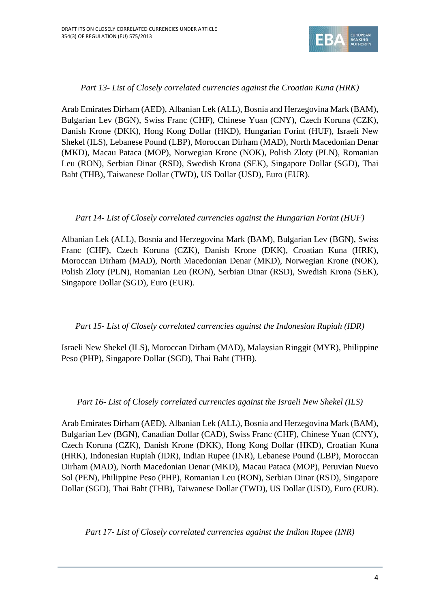

### *Part 13- List of Closely correlated currencies against the Croatian Kuna (HRK)*

Arab Emirates Dirham (AED), Albanian Lek (ALL), Bosnia and Herzegovina Mark (BAM), Bulgarian Lev (BGN), Swiss Franc (CHF), Chinese Yuan (CNY), Czech Koruna (CZK), Danish Krone (DKK), Hong Kong Dollar (HKD), Hungarian Forint (HUF), Israeli New Shekel (ILS), Lebanese Pound (LBP), Moroccan Dirham (MAD), North Macedonian Denar (MKD), Macau Pataca (MOP), Norwegian Krone (NOK), Polish Zloty (PLN), Romanian Leu (RON), Serbian Dinar (RSD), Swedish Krona (SEK), Singapore Dollar (SGD), Thai Baht (THB), Taiwanese Dollar (TWD), US Dollar (USD), Euro (EUR).

### *Part 14- List of Closely correlated currencies against the Hungarian Forint (HUF)*

Albanian Lek (ALL), Bosnia and Herzegovina Mark (BAM), Bulgarian Lev (BGN), Swiss Franc (CHF), Czech Koruna (CZK), Danish Krone (DKK), Croatian Kuna (HRK), Moroccan Dirham (MAD), North Macedonian Denar (MKD), Norwegian Krone (NOK), Polish Zloty (PLN), Romanian Leu (RON), Serbian Dinar (RSD), Swedish Krona (SEK), Singapore Dollar (SGD), Euro (EUR).

#### *Part 15- List of Closely correlated currencies against the Indonesian Rupiah (IDR)*

Israeli New Shekel (ILS), Moroccan Dirham (MAD), Malaysian Ringgit (MYR), Philippine Peso (PHP), Singapore Dollar (SGD), Thai Baht (THB).

#### *Part 16- List of Closely correlated currencies against the Israeli New Shekel (ILS)*

Arab Emirates Dirham (AED), Albanian Lek (ALL), Bosnia and Herzegovina Mark (BAM), Bulgarian Lev (BGN), Canadian Dollar (CAD), Swiss Franc (CHF), Chinese Yuan (CNY), Czech Koruna (CZK), Danish Krone (DKK), Hong Kong Dollar (HKD), Croatian Kuna (HRK), Indonesian Rupiah (IDR), Indian Rupee (INR), Lebanese Pound (LBP), Moroccan Dirham (MAD), North Macedonian Denar (MKD), Macau Pataca (MOP), Peruvian Nuevo Sol (PEN), Philippine Peso (PHP), Romanian Leu (RON), Serbian Dinar (RSD), Singapore Dollar (SGD), Thai Baht (THB), Taiwanese Dollar (TWD), US Dollar (USD), Euro (EUR).

*Part 17- List of Closely correlated currencies against the Indian Rupee (INR)*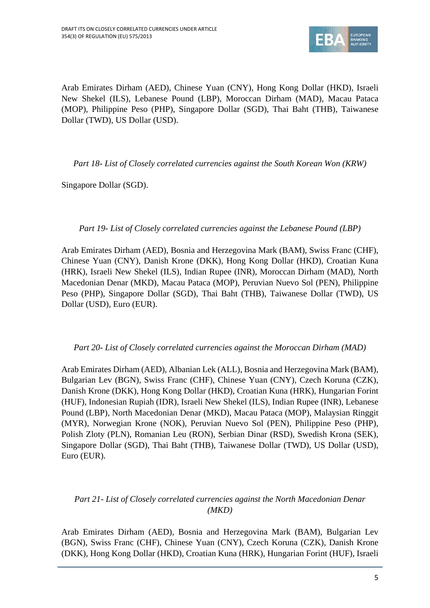

Arab Emirates Dirham (AED), Chinese Yuan (CNY), Hong Kong Dollar (HKD), Israeli New Shekel (ILS), Lebanese Pound (LBP), Moroccan Dirham (MAD), Macau Pataca (MOP), Philippine Peso (PHP), Singapore Dollar (SGD), Thai Baht (THB), Taiwanese Dollar (TWD), US Dollar (USD).

*Part 18- List of Closely correlated currencies against the South Korean Won (KRW)*

Singapore Dollar (SGD).

*Part 19- List of Closely correlated currencies against the Lebanese Pound (LBP)*

Arab Emirates Dirham (AED), Bosnia and Herzegovina Mark (BAM), Swiss Franc (CHF), Chinese Yuan (CNY), Danish Krone (DKK), Hong Kong Dollar (HKD), Croatian Kuna (HRK), Israeli New Shekel (ILS), Indian Rupee (INR), Moroccan Dirham (MAD), North Macedonian Denar (MKD), Macau Pataca (MOP), Peruvian Nuevo Sol (PEN), Philippine Peso (PHP), Singapore Dollar (SGD), Thai Baht (THB), Taiwanese Dollar (TWD), US Dollar (USD), Euro (EUR).

#### *Part 20- List of Closely correlated currencies against the Moroccan Dirham (MAD)*

Arab Emirates Dirham (AED), Albanian Lek (ALL), Bosnia and Herzegovina Mark (BAM), Bulgarian Lev (BGN), Swiss Franc (CHF), Chinese Yuan (CNY), Czech Koruna (CZK), Danish Krone (DKK), Hong Kong Dollar (HKD), Croatian Kuna (HRK), Hungarian Forint (HUF), Indonesian Rupiah (IDR), Israeli New Shekel (ILS), Indian Rupee (INR), Lebanese Pound (LBP), North Macedonian Denar (MKD), Macau Pataca (MOP), Malaysian Ringgit (MYR), Norwegian Krone (NOK), Peruvian Nuevo Sol (PEN), Philippine Peso (PHP), Polish Zloty (PLN), Romanian Leu (RON), Serbian Dinar (RSD), Swedish Krona (SEK), Singapore Dollar (SGD), Thai Baht (THB), Taiwanese Dollar (TWD), US Dollar (USD), Euro (EUR).

# *Part 21- List of Closely correlated currencies against the North Macedonian Denar (MKD)*

Arab Emirates Dirham (AED), Bosnia and Herzegovina Mark (BAM), Bulgarian Lev (BGN), Swiss Franc (CHF), Chinese Yuan (CNY), Czech Koruna (CZK), Danish Krone (DKK), Hong Kong Dollar (HKD), Croatian Kuna (HRK), Hungarian Forint (HUF), Israeli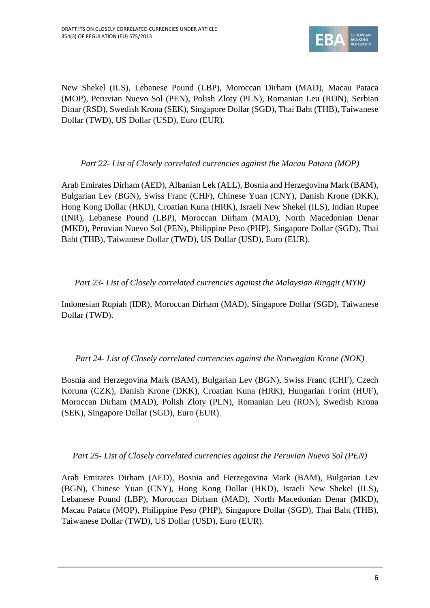

New Shekel (ILS), Lebanese Pound (LBP), Moroccan Dirham (MAD), Macau Pataca (MOP), Peruvian Nuevo Sol (PEN), Polish Zloty (PLN), Romanian Leu (RON), Serbian Dinar (RSD), Swedish Krona (SEK), Singapore Dollar (SGD), Thai Baht (THB), Taiwanese Dollar (TWD), US Dollar (USD), Euro (EUR).

# *Part 22- List of Closely correlated currencies against the Macau Pataca (MOP)*

Arab Emirates Dirham (AED), Albanian Lek (ALL), Bosnia and Herzegovina Mark (BAM), Bulgarian Lev (BGN), Swiss Franc (CHF), Chinese Yuan (CNY), Danish Krone (DKK), Hong Kong Dollar (HKD), Croatian Kuna (HRK), Israeli New Shekel (ILS), Indian Rupee (INR), Lebanese Pound (LBP), Moroccan Dirham (MAD), North Macedonian Denar (MKD), Peruvian Nuevo Sol (PEN), Philippine Peso (PHP), Singapore Dollar (SGD), Thai Baht (THB), Taiwanese Dollar (TWD), US Dollar (USD), Euro (EUR).

### *Part 23- List of Closely correlated currencies against the Malaysian Ringgit (MYR)*

Indonesian Rupiah (IDR), Moroccan Dirham (MAD), Singapore Dollar (SGD), Taiwanese Dollar (TWD).

#### *Part 24- List of Closely correlated currencies against the Norwegian Krone (NOK)*

Bosnia and Herzegovina Mark (BAM), Bulgarian Lev (BGN), Swiss Franc (CHF), Czech Koruna (CZK), Danish Krone (DKK), Croatian Kuna (HRK), Hungarian Forint (HUF), Moroccan Dirham (MAD), Polish Zloty (PLN), Romanian Leu (RON), Swedish Krona (SEK), Singapore Dollar (SGD), Euro (EUR).

#### *Part 25- List of Closely correlated currencies against the Peruvian Nuevo Sol (PEN)*

Arab Emirates Dirham (AED), Bosnia and Herzegovina Mark (BAM), Bulgarian Lev (BGN), Chinese Yuan (CNY), Hong Kong Dollar (HKD), Israeli New Shekel (ILS), Lebanese Pound (LBP), Moroccan Dirham (MAD), North Macedonian Denar (MKD), Macau Pataca (MOP), Philippine Peso (PHP), Singapore Dollar (SGD), Thai Baht (THB), Taiwanese Dollar (TWD), US Dollar (USD), Euro (EUR).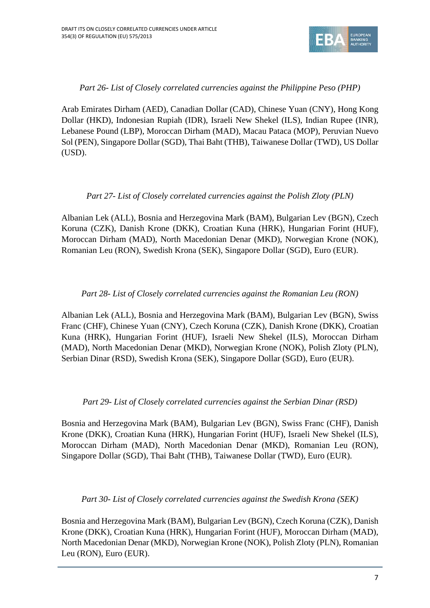

### *Part 26- List of Closely correlated currencies against the Philippine Peso (PHP)*

Arab Emirates Dirham (AED), Canadian Dollar (CAD), Chinese Yuan (CNY), Hong Kong Dollar (HKD), Indonesian Rupiah (IDR), Israeli New Shekel (ILS), Indian Rupee (INR), Lebanese Pound (LBP), Moroccan Dirham (MAD), Macau Pataca (MOP), Peruvian Nuevo Sol (PEN), Singapore Dollar (SGD), Thai Baht (THB), Taiwanese Dollar (TWD), US Dollar (USD).

### *Part 27- List of Closely correlated currencies against the Polish Zloty (PLN)*

Albanian Lek (ALL), Bosnia and Herzegovina Mark (BAM), Bulgarian Lev (BGN), Czech Koruna (CZK), Danish Krone (DKK), Croatian Kuna (HRK), Hungarian Forint (HUF), Moroccan Dirham (MAD), North Macedonian Denar (MKD), Norwegian Krone (NOK), Romanian Leu (RON), Swedish Krona (SEK), Singapore Dollar (SGD), Euro (EUR).

# *Part 28- List of Closely correlated currencies against the Romanian Leu (RON)*

Albanian Lek (ALL), Bosnia and Herzegovina Mark (BAM), Bulgarian Lev (BGN), Swiss Franc (CHF), Chinese Yuan (CNY), Czech Koruna (CZK), Danish Krone (DKK), Croatian Kuna (HRK), Hungarian Forint (HUF), Israeli New Shekel (ILS), Moroccan Dirham (MAD), North Macedonian Denar (MKD), Norwegian Krone (NOK), Polish Zloty (PLN), Serbian Dinar (RSD), Swedish Krona (SEK), Singapore Dollar (SGD), Euro (EUR).

#### *Part 29- List of Closely correlated currencies against the Serbian Dinar (RSD)*

Bosnia and Herzegovina Mark (BAM), Bulgarian Lev (BGN), Swiss Franc (CHF), Danish Krone (DKK), Croatian Kuna (HRK), Hungarian Forint (HUF), Israeli New Shekel (ILS), Moroccan Dirham (MAD), North Macedonian Denar (MKD), Romanian Leu (RON), Singapore Dollar (SGD), Thai Baht (THB), Taiwanese Dollar (TWD), Euro (EUR).

#### *Part 30- List of Closely correlated currencies against the Swedish Krona (SEK)*

Bosnia and Herzegovina Mark (BAM), Bulgarian Lev (BGN), Czech Koruna (CZK), Danish Krone (DKK), Croatian Kuna (HRK), Hungarian Forint (HUF), Moroccan Dirham (MAD), North Macedonian Denar (MKD), Norwegian Krone (NOK), Polish Zloty (PLN), Romanian Leu (RON), Euro (EUR).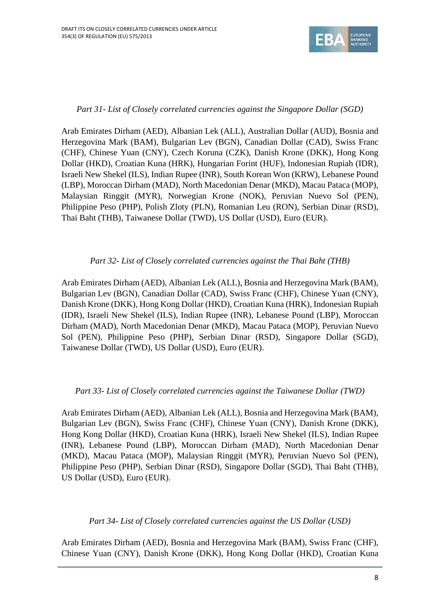

# *Part 31- List of Closely correlated currencies against the Singapore Dollar (SGD)*

Arab Emirates Dirham (AED), Albanian Lek (ALL), Australian Dollar (AUD), Bosnia and Herzegovina Mark (BAM), Bulgarian Lev (BGN), Canadian Dollar (CAD), Swiss Franc (CHF), Chinese Yuan (CNY), Czech Koruna (CZK), Danish Krone (DKK), Hong Kong Dollar (HKD), Croatian Kuna (HRK), Hungarian Forint (HUF), Indonesian Rupiah (IDR), Israeli New Shekel (ILS), Indian Rupee (INR), South Korean Won (KRW), Lebanese Pound (LBP), Moroccan Dirham (MAD), North Macedonian Denar (MKD), Macau Pataca (MOP), Malaysian Ringgit (MYR), Norwegian Krone (NOK), Peruvian Nuevo Sol (PEN), Philippine Peso (PHP), Polish Zloty (PLN), Romanian Leu (RON), Serbian Dinar (RSD), Thai Baht (THB), Taiwanese Dollar (TWD), US Dollar (USD), Euro (EUR).

#### *Part 32- List of Closely correlated currencies against the Thai Baht (THB)*

Arab Emirates Dirham (AED), Albanian Lek (ALL), Bosnia and Herzegovina Mark (BAM), Bulgarian Lev (BGN), Canadian Dollar (CAD), Swiss Franc (CHF), Chinese Yuan (CNY), Danish Krone (DKK), Hong Kong Dollar (HKD), Croatian Kuna (HRK), Indonesian Rupiah (IDR), Israeli New Shekel (ILS), Indian Rupee (INR), Lebanese Pound (LBP), Moroccan Dirham (MAD), North Macedonian Denar (MKD), Macau Pataca (MOP), Peruvian Nuevo Sol (PEN), Philippine Peso (PHP), Serbian Dinar (RSD), Singapore Dollar (SGD), Taiwanese Dollar (TWD), US Dollar (USD), Euro (EUR).

#### *Part 33- List of Closely correlated currencies against the Taiwanese Dollar (TWD)*

Arab Emirates Dirham (AED), Albanian Lek (ALL), Bosnia and Herzegovina Mark (BAM), Bulgarian Lev (BGN), Swiss Franc (CHF), Chinese Yuan (CNY), Danish Krone (DKK), Hong Kong Dollar (HKD), Croatian Kuna (HRK), Israeli New Shekel (ILS), Indian Rupee (INR), Lebanese Pound (LBP), Moroccan Dirham (MAD), North Macedonian Denar (MKD), Macau Pataca (MOP), Malaysian Ringgit (MYR), Peruvian Nuevo Sol (PEN), Philippine Peso (PHP), Serbian Dinar (RSD), Singapore Dollar (SGD), Thai Baht (THB), US Dollar (USD), Euro (EUR).

*Part 34- List of Closely correlated currencies against the US Dollar (USD)*

Arab Emirates Dirham (AED), Bosnia and Herzegovina Mark (BAM), Swiss Franc (CHF), Chinese Yuan (CNY), Danish Krone (DKK), Hong Kong Dollar (HKD), Croatian Kuna